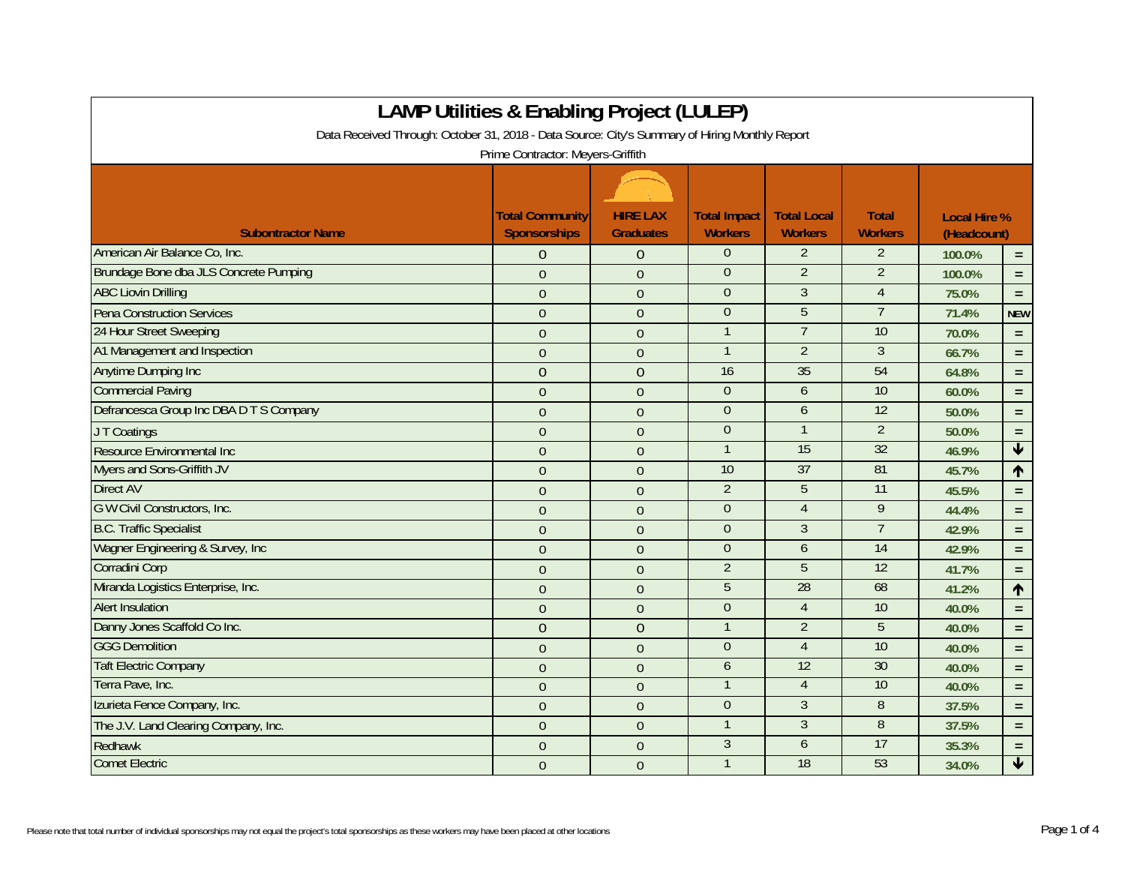| LAMP Utilities & Enabling Project (LULEP)                                                      |                                               |                                     |                                       |                                      |                                |                                    |                      |  |
|------------------------------------------------------------------------------------------------|-----------------------------------------------|-------------------------------------|---------------------------------------|--------------------------------------|--------------------------------|------------------------------------|----------------------|--|
| Data Received Through: October 31, 2018 - Data Source: City's Summary of Hiring Monthly Report |                                               |                                     |                                       |                                      |                                |                                    |                      |  |
| Prime Contractor: Meyers-Griffith                                                              |                                               |                                     |                                       |                                      |                                |                                    |                      |  |
|                                                                                                |                                               |                                     |                                       |                                      |                                |                                    |                      |  |
| <b>Subontractor Name</b>                                                                       | <b>Total Community</b><br><b>Sponsorships</b> | <b>HIRE LAX</b><br><b>Graduates</b> | <b>Total Impact</b><br><b>Workers</b> | <b>Total Local</b><br><b>Workers</b> | <b>Total</b><br><b>Workers</b> | <b>Local Hire %</b><br>(Headcount) |                      |  |
| American Air Balance Co, Inc.                                                                  | $\overline{0}$                                | $\theta$                            | $\theta$                              | $\overline{2}$                       | $\overline{2}$                 | 100.0%                             | $\equiv$             |  |
| Brundage Bone dba JLS Concrete Pumping                                                         | $\overline{0}$                                | $\Omega$                            | $\overline{0}$                        | $\overline{2}$                       | $\overline{2}$                 | 100.0%                             | $\equiv$             |  |
| <b>ABC Liovin Drilling</b>                                                                     | $\overline{0}$                                | $\overline{0}$                      | $\Omega$                              | $\overline{3}$                       | $\overline{4}$                 | 75.0%                              | $\equiv$             |  |
| Pena Construction Services                                                                     | $\Omega$                                      | $\theta$                            | $\overline{0}$                        | 5                                    | $\overline{7}$                 | 71.4%                              | <b>NEW</b>           |  |
| 24 Hour Street Sweeping                                                                        | $\Omega$                                      | $\theta$                            | $\mathbf{1}$                          | $\overline{7}$                       | 10                             | 70.0%                              | $\equiv$             |  |
| A1 Management and Inspection                                                                   | $\overline{0}$                                | $\overline{0}$                      | $\mathbf{1}$                          | $\overline{2}$                       | 3                              | 66.7%                              | $\equiv$             |  |
| Anytime Dumping Inc                                                                            | $\overline{0}$                                | $\overline{0}$                      | 16                                    | 35                                   | 54                             | 64.8%                              | $\equiv$             |  |
| <b>Commercial Paving</b>                                                                       | $\overline{0}$                                | $\overline{0}$                      | $\Omega$                              | 6                                    | 10                             | 60.0%                              | $\equiv$             |  |
| Defrancesca Group Inc DBA D T S Company                                                        | $\overline{0}$                                | $\overline{0}$                      | $\theta$                              | $\overline{6}$                       | $\overline{12}$                | 50.0%                              | $\equiv$             |  |
| JT Coatings                                                                                    | $\Omega$                                      | $\theta$                            | $\boldsymbol{0}$                      | $\mathbf{1}$                         | $\overline{2}$                 | 50.0%                              | $\equiv$             |  |
| Resource Environmental Inc                                                                     | $\overline{0}$                                | $\overline{0}$                      | $\overline{1}$                        | 15                                   | $\overline{32}$                | 46.9%                              | $\blacklozenge$      |  |
| Myers and Sons-Griffith JV                                                                     | $\overline{0}$                                | $\overline{0}$                      | 10                                    | 37                                   | 81                             | 45.7%                              | $\uparrow$           |  |
| <b>Direct AV</b>                                                                               | $\overline{0}$                                | $\theta$                            | $\overline{2}$                        | 5                                    | 11                             | 45.5%                              | $\equiv$             |  |
| G W Civil Constructors, Inc.                                                                   | $\overline{0}$                                | $\overline{0}$                      | $\theta$                              | $\overline{4}$                       | 9                              | 44.4%                              | $\equiv$             |  |
| <b>B.C. Traffic Specialist</b>                                                                 | $\overline{0}$                                | $\theta$                            | $\overline{0}$                        | 3                                    | $\overline{7}$                 | 42.9%                              | $\equiv$             |  |
| Wagner Engineering & Survey, Inc.                                                              | $\overline{0}$                                | $\overline{0}$                      | $\theta$                              | 6                                    | $\overline{14}$                | 42.9%                              | $\equiv$             |  |
| Corradini Corp                                                                                 | $\overline{0}$                                | $\theta$                            | $\overline{2}$                        | 5                                    | $\overline{12}$                | 41.7%                              | $\equiv$             |  |
| Miranda Logistics Enterprise, Inc.                                                             | $\overline{0}$                                | $\theta$                            | $\overline{5}$                        | 28                                   | 68                             | 41.2%                              | $\uparrow$           |  |
| <b>Alert Insulation</b>                                                                        | $\overline{0}$                                | $\overline{0}$                      | $\overline{0}$                        | $\overline{4}$                       | 10                             | 40.0%                              | $\equiv$             |  |
| Danny Jones Scaffold Co Inc.                                                                   | $\overline{0}$                                | $\overline{0}$                      | $\mathbf{1}$                          | $\overline{2}$                       | 5                              | 40.0%                              | $\equiv$             |  |
| <b>GGG Demolition</b>                                                                          | $\overline{0}$                                | $\overline{0}$                      | $\overline{0}$                        | $\overline{4}$                       | 10                             | 40.0%                              | $\equiv$             |  |
| <b>Taft Electric Company</b>                                                                   | $\overline{0}$                                | $\theta$                            | $\boldsymbol{6}$                      | 12                                   | 30                             | 40.0%                              | $\equiv$             |  |
| Terra Pave, Inc.                                                                               | $\overline{0}$                                | $\overline{0}$                      |                                       | $\overline{4}$                       | 10                             | 40.0%                              | $\equiv$             |  |
| Izurieta Fence Company, Inc.                                                                   | $\overline{0}$                                | $\overline{0}$                      | $\theta$                              | $\overline{3}$                       | 8                              | 37.5%                              | $\equiv$             |  |
| The J.V. Land Clearing Company, Inc.                                                           | $\overline{0}$                                | $\theta$                            | $\mathbf{1}$                          | $\overline{3}$                       | 8                              | 37.5%                              | $\equiv$             |  |
| Redhawk                                                                                        | $\Omega$                                      | $\theta$                            | $\mathfrak{Z}$                        | 6                                    | 17                             | 35.3%                              | $\equiv$             |  |
| <b>Comet Electric</b>                                                                          | $\overline{0}$                                | $\mathbf{0}$                        | $\mathbf 1$                           | 18                                   | 53                             | 34.0%                              | $\blacktriangledown$ |  |

## **LAMP Utilities & Enabling Project (LULEP)**

 $\mathbf{r}$ 

┑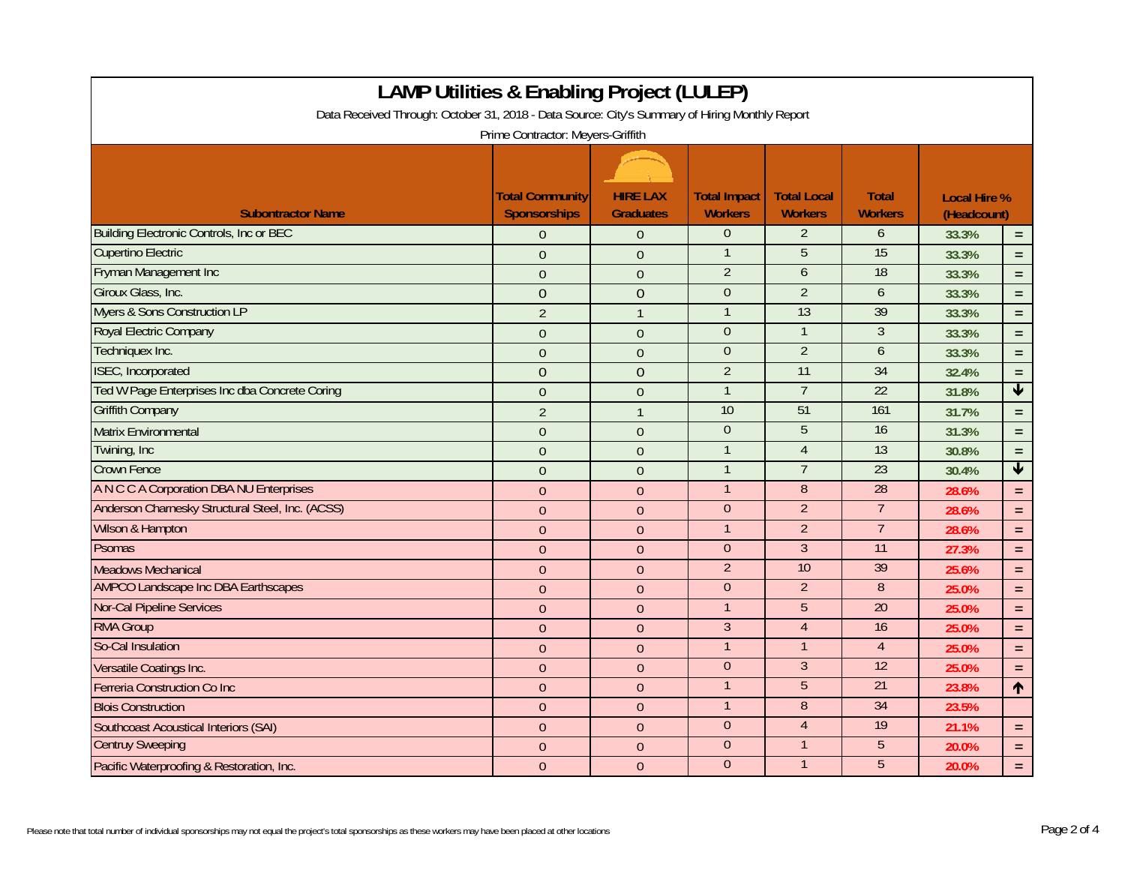| <b>LAMP Utilities &amp; Enabling Project (LULEP)</b>                                           |                                               |                                     |                                       |                                      |                                |                                    |                         |
|------------------------------------------------------------------------------------------------|-----------------------------------------------|-------------------------------------|---------------------------------------|--------------------------------------|--------------------------------|------------------------------------|-------------------------|
| Data Received Through: October 31, 2018 - Data Source: City's Summary of Hiring Monthly Report |                                               |                                     |                                       |                                      |                                |                                    |                         |
|                                                                                                | Prime Contractor: Meyers-Griffith             |                                     |                                       |                                      |                                |                                    |                         |
|                                                                                                |                                               |                                     |                                       |                                      |                                |                                    |                         |
| <b>Subontractor Name</b>                                                                       | <b>Total Community</b><br><b>Sponsorships</b> | <b>HIRE LAX</b><br><b>Graduates</b> | <b>Total Impact</b><br><b>Workers</b> | <b>Total Local</b><br><b>Workers</b> | <b>Total</b><br><b>Workers</b> | <b>Local Hire %</b><br>(Headcount) |                         |
| <b>Building Electronic Controls, Inc or BEC</b>                                                | $\Omega$                                      | $\overline{0}$                      | $\overline{0}$                        | $\overline{2}$                       | 6                              | 33.3%<br>$\equiv$                  |                         |
| <b>Cupertino Electric</b>                                                                      | $\theta$                                      | $\overline{0}$                      | $\mathbf 1$                           | 5                                    | 15                             | 33.3%                              | $=$ $\,$                |
| Fryman Management Inc                                                                          | $\overline{0}$                                | $\mathbf{0}$                        | $\overline{2}$                        | $\boldsymbol{6}$                     | 18                             | 33.3%                              | $=$ $\,$                |
| Giroux Glass, Inc.                                                                             | $\overline{0}$                                | $\overline{0}$                      | $\overline{0}$                        | $\overline{2}$                       | 6                              | 33.3%                              | $\equiv$                |
| <b>Myers &amp; Sons Construction LP</b>                                                        | $\overline{2}$                                | $\mathbf{1}$                        | $\mathbf{1}$                          | 13                                   | 39                             | 33.3%                              | $=$                     |
| Royal Electric Company                                                                         | $\overline{0}$                                | $\overline{0}$                      | $\Omega$                              | $\mathbf 1$                          | $\mathfrak{Z}$                 | 33.3%                              | $\equiv$                |
| Techniquex Inc.                                                                                | $\overline{0}$                                | $\overline{0}$                      | $\overline{0}$                        | $\overline{2}$                       | 6                              | 33.3%                              | $\equiv$                |
| ISEC, Incorporated                                                                             | $\overline{0}$                                | $\overline{0}$                      | $\overline{2}$                        | 11                                   | 34                             | 32.4%                              | $=$ $\,$                |
| Ted W Page Enterprises Inc dba Concrete Coring                                                 | $\theta$                                      | $\overline{0}$                      | $\mathbf{1}$                          | $\overline{7}$                       | $\overline{22}$                | 31.8%                              | $\overline{\mathbf{t}}$ |
| <b>Griffith Company</b>                                                                        | $\overline{2}$                                | $\mathbf{1}$                        | 10                                    | 51                                   | 161                            | 31.7%                              | $\equiv$                |
| <b>Matrix Environmental</b>                                                                    | $\overline{0}$                                | $\overline{0}$                      | $\overline{0}$                        | $\overline{5}$                       | 16                             | 31.3%                              | $\equiv$                |
| Twining, Inc.                                                                                  | $\overline{0}$                                | $\overline{0}$                      | $\mathbf{1}$                          | $\overline{4}$                       | 13                             | 30.8%                              | $\equiv$                |
| <b>Crown Fence</b>                                                                             | $\overline{0}$                                | $\mathbf{0}$                        | $\mathbf{1}$                          | $\overline{7}$                       | 23                             | 30.4%                              | $\overline{\textbf{v}}$ |
| A N C C A Corporation DBA NU Enterprises                                                       | $\overline{0}$                                | $\overline{0}$                      | $\mathbf{1}$                          | $\overline{8}$                       | 28                             | 28.6%                              | $\equiv$                |
| Anderson Charnesky Structural Steel, Inc. (ACSS)                                               | $\Omega$                                      | $\theta$                            | $\overline{0}$                        | $\overline{2}$                       | $\overline{7}$                 | 28.6%                              | $=$                     |
| Wilson & Hampton                                                                               | $\overline{0}$                                | $\overline{0}$                      | $\mathbf{1}$                          | $\overline{2}$                       | $\overline{7}$                 | 28.6%                              | $\equiv$                |
| <b>Psomas</b>                                                                                  | $\overline{0}$                                | $\overline{0}$                      | $\overline{0}$                        | $\overline{3}$                       | $\overline{11}$                | 27.3%                              | $\equiv$                |
| <b>Meadows Mechanical</b>                                                                      | $\Omega$                                      | $\overline{0}$                      | $\overline{2}$                        | 10                                   | 39                             | 25.6%                              | $\equiv$                |
| <b>AMPCO Landscape Inc DBA Earthscapes</b>                                                     | $\overline{0}$                                | $\overline{0}$                      | $\boldsymbol{0}$                      | $\overline{2}$                       | $\, 8$                         | 25.0%                              | $\equiv$                |
| <b>Nor-Cal Pipeline Services</b>                                                               | $\Omega$                                      | $\mathbf{0}$                        | $\mathbf{1}$                          | 5                                    | $\overline{20}$                | 25.0%                              | $\equiv$                |
| <b>RMA Group</b>                                                                               | $\theta$                                      | $\overline{0}$                      | $\mathfrak{Z}$                        | $\overline{4}$                       | 16                             | 25.0%                              | $\equiv$                |
| So-Cal Insulation                                                                              | $\overline{0}$                                | $\mathbf{0}$                        | $\mathbf{1}$                          | 1                                    | $\overline{4}$                 | 25.0%                              | $\equiv$                |
| Versatile Coatings Inc.                                                                        | $\overline{0}$                                | $\overline{0}$                      | $\overline{0}$                        | $\overline{3}$                       | 12                             | 25.0%                              | $\equiv$                |
| <b>Ferreria Construction Co Inc.</b>                                                           | $\overline{0}$                                | $\overline{0}$                      | $\mathbf{1}$                          | $\overline{5}$                       | 21                             | 23.8%                              | $\uparrow$              |
| <b>Blois Construction</b>                                                                      | $\overline{0}$                                | $\mathbf{0}$                        | $\mathbf{1}$                          | $\overline{8}$                       | 34                             | 23.5%                              |                         |
| <b>Southcoast Acoustical Interiors (SAI)</b>                                                   | $\overline{0}$                                | $\overline{0}$                      | $\overline{0}$                        | $\overline{4}$                       | 19                             | 21.1%                              | $\equiv$                |
| <b>Centruy Sweeping</b>                                                                        | $\Omega$                                      | $\overline{0}$                      | $\overline{0}$                        |                                      | $\overline{5}$                 | 20.0%                              | $\equiv$                |
| Pacific Waterproofing & Restoration, Inc.                                                      | $\Omega$                                      | $\overline{0}$                      | $\overline{0}$                        | $\mathbf 1$                          | $\overline{5}$                 | 20.0%                              | $\equiv$                |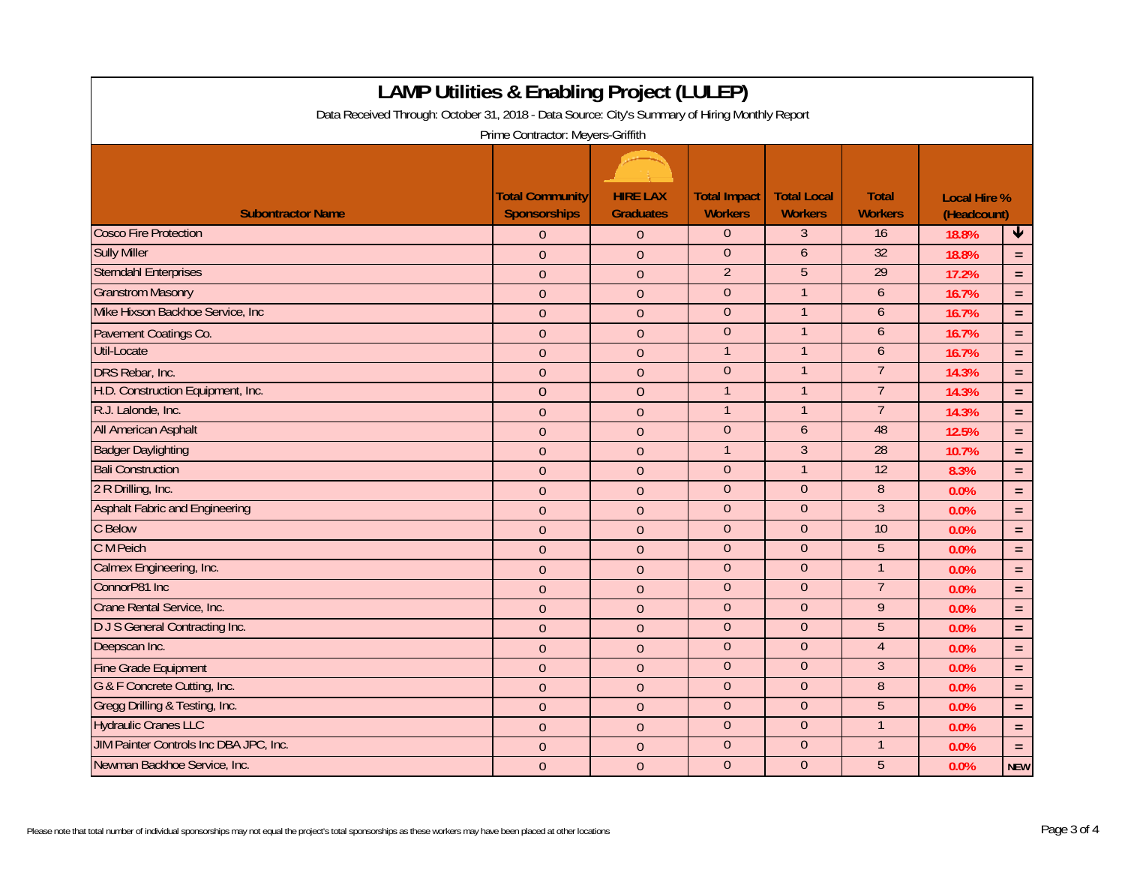| <b>LAMP Utilities &amp; Enabling Project (LULEP)</b>                                           |                                               |                                     |                                       |                                      |                                |                                    |              |  |
|------------------------------------------------------------------------------------------------|-----------------------------------------------|-------------------------------------|---------------------------------------|--------------------------------------|--------------------------------|------------------------------------|--------------|--|
| Data Received Through: October 31, 2018 - Data Source: City's Summary of Hiring Monthly Report |                                               |                                     |                                       |                                      |                                |                                    |              |  |
| Prime Contractor: Meyers-Griffith                                                              |                                               |                                     |                                       |                                      |                                |                                    |              |  |
|                                                                                                |                                               |                                     |                                       |                                      |                                |                                    |              |  |
| <b>Subontractor Name</b>                                                                       | <b>Total Community</b><br><b>Sponsorships</b> | <b>HIRE LAX</b><br><b>Graduates</b> | <b>Total Impact</b><br><b>Workers</b> | <b>Total Local</b><br><b>Workers</b> | <b>Total</b><br><b>Workers</b> | <b>Local Hire %</b><br>(Headcount) |              |  |
| <b>Cosco Fire Protection</b>                                                                   | $\overline{0}$                                | $\theta$                            | $\overline{0}$                        | $\mathfrak{Z}$                       | 16                             | 18.8%                              | $\downarrow$ |  |
| <b>Sully Miller</b>                                                                            | $\Omega$                                      | $\theta$                            | $\overline{0}$                        | 6                                    | 32                             | 18.8%                              | $\equiv$     |  |
| <b>Sterndahl Enterprises</b>                                                                   | $\overline{0}$                                | $\theta$                            | $\overline{2}$                        | $\overline{5}$                       | 29                             | 17.2%                              | $\equiv$     |  |
| <b>Granstrom Masonry</b>                                                                       | $\overline{0}$                                | $\overline{0}$                      | $\overline{0}$                        | $\mathbf{1}$                         | 6                              | 16.7%                              | $\equiv$     |  |
| Mike Hixson Backhoe Service, Inc.                                                              | $\Omega$                                      | $\theta$                            | $\overline{0}$                        | 1                                    | 6                              | 16.7%                              | $\equiv$     |  |
| Pavement Coatings Co.                                                                          | $\overline{0}$                                | $\overline{0}$                      | $\overline{0}$                        | $\mathbf 1$                          | 6                              | 16.7%                              | $\equiv$     |  |
| <b>Util-Locate</b>                                                                             | $\overline{0}$                                | $\theta$                            | $\mathbf{1}$                          | $\mathbf 1$                          | 6                              | 16.7%                              | $\equiv$     |  |
| DRS Rebar, Inc.                                                                                | $\theta$                                      | $\theta$                            | $\overline{0}$                        | $\mathbf{1}$                         | $\overline{7}$                 | 14.3%                              | $\equiv$     |  |
| H.D. Construction Equipment, Inc.                                                              | $\overline{0}$                                | $\overline{0}$                      | $\mathbf{1}$                          | $\mathbf{1}$                         | $\overline{7}$                 | 14.3%                              | $\equiv$     |  |
| R.J. Lalonde, Inc.                                                                             | $\overline{0}$                                | $\overline{0}$                      | $\mathbf{1}$                          | $\mathbf{1}$                         | $\overline{7}$                 | 14.3%                              | $\equiv$     |  |
| <b>All American Asphalt</b>                                                                    | $\overline{0}$                                | $\overline{0}$                      | $\overline{0}$                        | 6                                    | 48                             | 12.5%                              | $\equiv$     |  |
| <b>Badger Daylighting</b>                                                                      | $\overline{0}$                                | $\mathbf{0}$                        | $\mathbf{1}$                          | $\overline{3}$                       | 28                             | 10.7%                              | $\equiv$     |  |
| <b>Bali Construction</b>                                                                       | $\overline{0}$                                | $\mathbf{0}$                        | $\boldsymbol{0}$                      | $\mathbf{1}$                         | $\overline{12}$                | 8.3%                               | $\equiv$     |  |
| 2 R Drilling, Inc.                                                                             | $\overline{0}$                                | $\overline{0}$                      | $\overline{0}$                        | $\overline{0}$                       | $\, 8$                         | 0.0%                               | $\equiv$     |  |
| <b>Asphalt Fabric and Engineering</b>                                                          | $\Omega$                                      | $\theta$                            | $\overline{0}$                        | $\overline{0}$                       | $\overline{3}$                 | 0.0%                               | $=$          |  |
| C Below                                                                                        | $\overline{0}$                                | $\mathbf{0}$                        | $\boldsymbol{0}$                      | $\boldsymbol{0}$                     | 10                             | 0.0%                               | $\equiv$     |  |
| C M Peich                                                                                      | $\overline{0}$                                | $\overline{0}$                      | $\overline{0}$                        | $\theta$                             | 5                              | 0.0%                               | $\equiv$     |  |
| Calmex Engineering, Inc.                                                                       | $\Omega$                                      | $\overline{0}$                      | $\overline{0}$                        | $\overline{0}$                       | $\mathbf{1}$                   | 0.0%                               | $\equiv$     |  |
| ConnorP81 Inc                                                                                  | $\overline{0}$                                | $\mathbf{0}$                        | $\Omega$                              | $\theta$                             | $\overline{7}$                 | 0.0%                               | $\equiv$     |  |
| Crane Rental Service, Inc.                                                                     | $\Omega$                                      | $\mathbf{0}$                        | $\overline{0}$                        | $\theta$                             | 9                              | 0.0%                               | $\equiv$     |  |
| <b>DJS</b> General Contracting Inc.                                                            | $\theta$                                      | $\overline{0}$                      | $\overline{0}$                        | $\theta$                             | 5                              | 0.0%                               | $\equiv$     |  |
| Deepscan Inc.                                                                                  | $\overline{0}$                                | $\mathbf{0}$                        | $\overline{0}$                        | $\overline{0}$                       | $\overline{4}$                 | 0.0%                               | $\equiv$     |  |
| <b>Fine Grade Equipment</b>                                                                    | $\overline{0}$                                | $\mathbf{0}$                        | $\overline{0}$                        | $\overline{0}$                       | $\overline{3}$                 | 0.0%                               | $\equiv$     |  |
| G & F Concrete Cutting, Inc.                                                                   | $\overline{0}$                                | $\overline{0}$                      | $\overline{0}$                        | $\overline{0}$                       | $\overline{8}$                 | 0.0%                               | $\equiv$     |  |
| Gregg Drilling & Testing, Inc.                                                                 | $\overline{0}$                                | $\mathbf{0}$                        | $\overline{0}$                        | $\overline{0}$                       | $\overline{5}$                 | 0.0%                               | $\equiv$     |  |
| <b>Hydraulic Cranes LLC</b>                                                                    | $\overline{0}$                                | $\overline{0}$                      | $\overline{0}$                        | $\overline{0}$                       |                                | 0.0%                               | $\equiv$     |  |
| JIM Painter Controls Inc DBA JPC, Inc.                                                         | $\Omega$                                      | $\mathbf{0}$                        | $\overline{0}$                        | $\theta$                             |                                | 0.0%                               | $\equiv$     |  |
| Newman Backhoe Service, Inc.                                                                   | $\theta$                                      | $\overline{0}$                      | $\overline{0}$                        | $\overline{0}$                       | $\overline{5}$                 | 0.0%                               | <b>NEW</b>   |  |